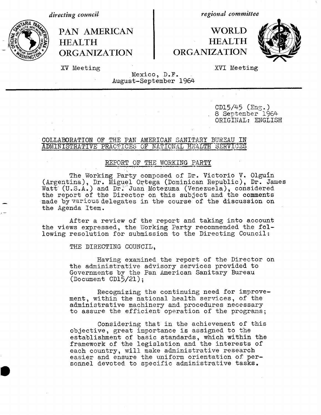*directing council*



 $\rm{HEALTH}$  HEALTH ORGANIZATION | ORGANIZATION

*regional committee*

PAN AMERICAN | WORLD



XV Meeting XVI Meeting

Mexico, D.F. August-September 1964

> $CD15/45$  (Eng.) 8 September 1964 ORIGINAL: ENGLISH

## COLLABORATION OF THE PAN AMERICAN SANITARY BUREAU IN ADMINISTRATIVE PRACTICES OF NATIONAL HEALTH SERVICES

## REPORT OF THE WORKING PARTY

The Working Party composed of Dr. Victorio V. Olguin (Argentina), Dr. Miguel Ortega (Dominican Republic), Dr. James Watt (U.S.A.) and Dr. Juan Motezuma (Venezuela), considered the report of the Director on this subject and the comments made by various delegates in the course of the discussion on the Agenda Item.

After a review of the report and taking into account the views expressed, the Working Party recommended the following resolution for submission to the Directing Council:

THE DIRECTING COUNCIL,

Having examined the report of the Director on the administrative advisory services provided to Governments by the Pan American Sanitary Bureau (Document CD15/21);

Recognizing the continuing need for improvement, within the national health services, of the administrative machinery and procedures necessary to assure the efficient operation of the programs;

Considering that in the achievement of this objective, great importance is assigned to the establishment of basic standards, which within the framework of the legislation and the interests of each country, will make administrative research easier and ensure the uniform orientation of personnel devoted to specific administrative tasks.